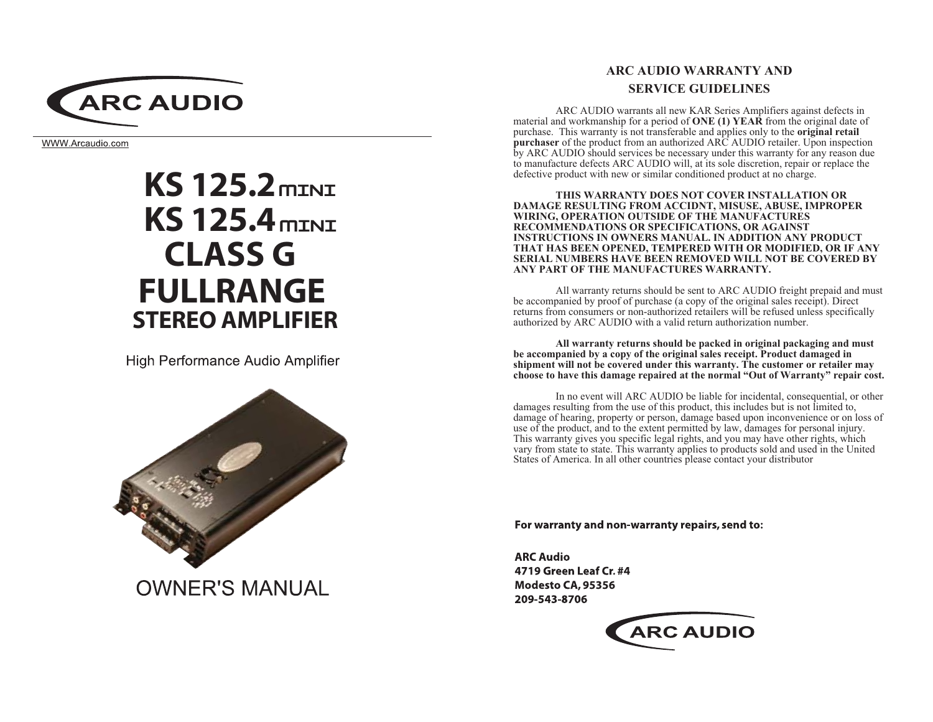

WWW.Arcaudio.com

# $KS$  125.2 $m$ INI **KS 125.4 mini CLASS G FULLRANGE STEREO AMPLIFIER**

High Performance Audio Amplifier



**OWNER'S MANUAL** 

# **ARC AUDIO WARRANTY AND SERVICE GUIDELINES**

ARC AUDIO warrants all new KAR Series Amplifiers against defects in material and workmanship for a period of ONE (1) YEAR from the original date of purchase. This warranty is not transferable and applies only to the **original retail purchaser** of the product from an authorized ARC AUDIO retailer. Upon inspection by ARC AUDIO should services be necessary under this warranty for any reason due to manufacture defects ARC AUDIO will, at its sole discretion, repair or replace the defective product with new or similar conditioned product at no charge.

THIS WARRANTY DOES NOT COVER INSTALLATION OR **DAMAGE RESULTING FROM ACCIDNT, MISUSE, ABUSE, IMPROPER** WIRING, OPERATION OUTSIDE OF THE MANUFACTURES RECOMMENDATIONS OR SPECIFICATIONS, OR AGAINST INSTRUCTIONS IN OWNERS MANUAL. IN ADDITION ANY PRODUCT THAT HAS BEEN OPENED, TEMPERED WITH OR MODIFIED, OR IF ANY SERIAL NUMBERS HAVE BEEN REMOVED WILL NOT BE COVERED BY ANY PART OF THE MANUFACTURES WARRANTY.

All warranty returns should be sent to ARC AUDIO freight prepaid and must be accompanied by proof of purchase (a copy of the original sales receipt). Direct returns from consumers or non-authorized retailers will be refused unless specifically authorized by ARC AUDIO with a valid return authorization number.

All warranty returns should be packed in original packaging and must be accompanied by a copy of the original sales receipt. Product damaged in shipment will not be covered under this warranty. The customer or retailer may choose to have this damage repaired at the normal "Out of Warranty" repair cost.

In no event will ARC AUDIO be liable for incidental, consequential, or other damages resulting from the use of this product, this includes but is not limited to, damage of hearing, property or person, damage based upon inconvenience or on loss of use of the product, and to the extent permitted by law, damages for personal injury. This warranty gives you specific legal rights, and you may have other rights, which vary from state to state. This warranty applies to products sold and used in the United States of America. In all other countries please contact your distributor

For warranty and non-warranty repairs, send to:

**ARC Audio** 4719 Green Leaf Cr. #4 Modesto CA, 95356 209-543-8706

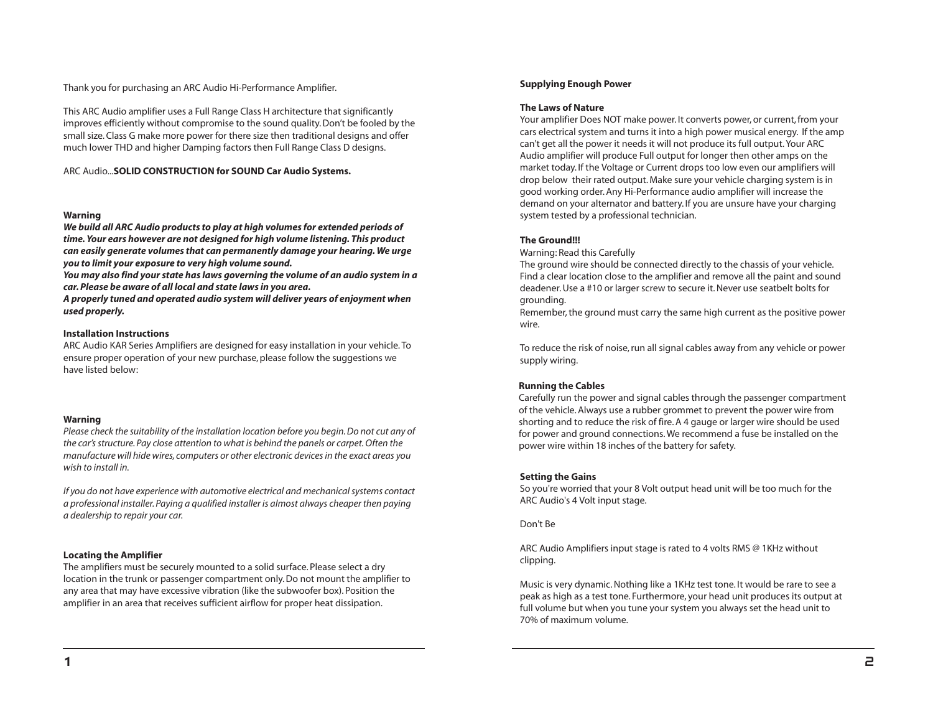Thank you for purchasing an ARC Audio Hi-Performance Amplifier.

This ARC Audio amplifier uses a Full Range Class H architecture that significantly improves efficiently without compromise to the sound quality. Don't be fooled by the small size. Class G make more power for there size then traditional designs and offer much lower THD and higher Damping factors then Full Range Class D designs.

ARC Audio...SOLID CONSTRUCTION for SOUND Car Audio Systems.

#### Warning

We build all ARC Audio products to play at high volumes for extended periods of time. Your ears however are not designed for high volume listening. This product can easily generate volumes that can permanently damage your hearing. We urge you to limit your exposure to very high volume sound.

You may also find your state has laws governing the volume of an audio system in a car. Please be aware of all local and state laws in you area.

A properly tuned and operated audio system will deliver years of enjoyment when used properly.

#### **Installation Instructions**

ARC Audio KAR Series Amplifiers are designed for easy installation in your vehicle. To ensure proper operation of your new purchase, please follow the suggestions we have listed below:

#### Warning

Please check the suitability of the installation location before you begin. Do not cut any of the car's structure. Pay close attention to what is behind the panels or carpet. Often the manufacture will hide wires, computers or other electronic devices in the exact areas you wish to install in

If you do not have experience with automotive electrical and mechanical systems contact a professional installer. Paying a qualified installer is almost always cheaper then paying a dealership to repair your car.

#### **Locating the Amplifier**

The amplifiers must be securely mounted to a solid surface. Please select a dry location in the trunk or passenger compartment only. Do not mount the amplifier to any area that may have excessive vibration (like the subwoofer box). Position the amplifier in an area that receives sufficient airflow for proper heat dissipation.

#### **Supplying Enough Power**

#### **The Laws of Nature**

Your amplifier Does NOT make power. It converts power, or current, from your cars electrical system and turns it into a high power musical energy. If the amp can't get all the power it needs it will not produce its full output. Your ARC Audio amplifier will produce Full output for longer then other amps on the market today. If the Voltage or Current drops too low even our amplifiers will drop below their rated output. Make sure your vehicle charging system is in good working order. Any Hi-Performance audio amplifier will increase the demand on your alternator and battery. If you are unsure have your charging system tested by a professional technician.

#### **The Ground!!!**

Warning: Read this Carefully

The ground wire should be connected directly to the chassis of your vehicle. Find a clear location close to the amplifier and remove all the paint and sound deadener. Use a #10 or larger screw to secure it. Never use seatbelt bolts for grounding.

Remember, the ground must carry the same high current as the positive power wire.

To reduce the risk of noise, run all signal cables away from any vehicle or power supply wiring.

#### **Running the Cables**

Carefully run the power and signal cables through the passenger compartment of the vehicle. Always use a rubber grommet to prevent the power wire from shorting and to reduce the risk of fire. A 4 gauge or larger wire should be used for power and ground connections. We recommend a fuse be installed on the power wire within 18 inches of the battery for safety.

#### **Setting the Gains**

So you're worried that your 8 Volt output head unit will be too much for the ARC Audio's 4 Volt input stage.

Don't Be

ARC Audio Amplifiers input stage is rated to 4 volts RMS @ 1KHz without clipping.

Music is very dynamic. Nothing like a 1KHz test tone. It would be rare to see a peak as high as a test tone. Furthermore, your head unit produces its output at full volume but when you tune your system you always set the head unit to 70% of maximum volume.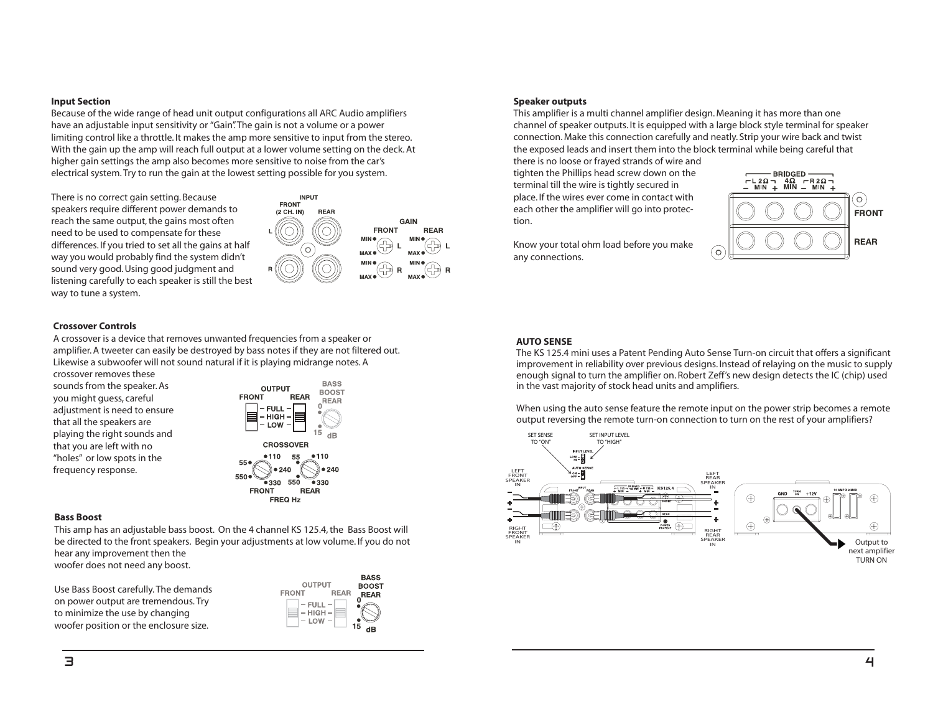#### **Input Section**

Because of the wide range of head unit output configurations all ARC Audio amplifiers have an adjustable input sensitivity or "Gain". The gain is not a volume or a power limiting control like a throttle. It makes the amp more sensitive to input from the stereo. With the gain up the amp will reach full output at a lower volume setting on the deck. At higher gain settings the amp also becomes more sensitive to noise from the car's electrical system. Try to run the gain at the lowest setting possible for you system.

There is no correct gain setting. Because speakers require different power demands to reach the same output, the gains most often need to be used to compensate for these differences. If you tried to set all the gains at half way you would probably find the system didn't sound very good. Using good judgment and listening carefully to each speaker is still the best way to tune a system.



**INPUT** 

#### **Crossover Controls**

A crossover is a device that removes unwanted frequencies from a speaker or amplifier. A tweeter can easily be destroyed by bass notes if they are not filtered out. Likewise a subwoofer will not sound natural if it is playing midrange notes. A

crossover removes these sounds from the speaker. As you might guess, careful adjustment is need to ensure that all the speakers are playing the right sounds and that you are left with no "holes" or low spots in the frequency response.



#### **Bass Boost**

This amp has an adjustable bass boost. On the 4 channel KS 125.4, the Bass Boost will be directed to the front speakers. Begin your adjustments at low volume. If you do not hear any improvement then the woofer does not need any boost.

Use Bass Boost carefully. The demands on power output are tremendous. Try to minimize the use by changing woofer position or the enclosure size.



#### **Speaker outputs**

This amplifier is a multi channel amplifier design. Meaning it has more than one channel of speaker outputs. It is equipped with a large block style terminal for speaker connection. Make this connection carefully and neatly. Strip your wire back and twist the exposed leads and insert them into the block terminal while being careful that

there is no loose or frayed strands of wire and tighten the Phillips head screw down on the terminal till the wire is tightly secured in place. If the wires ever come in contact with each other the amplifier will go into protection.



Know your total ohm load before you make any connections.

#### **AUTO SENSE**

The KS 125.4 mini uses a Patent Pending Auto Sense Turn-on circuit that offers a significant improvement in reliability over previous designs. Instead of relaying on the music to supply enough signal to turn the amplifier on. Robert Zeff's new design detects the IC (chip) used in the vast majority of stock head units and amplifiers.

When using the auto sense feature the remote input on the power strip becomes a remote output reversing the remote turn-on connection to turn on the rest of your amplifiers?

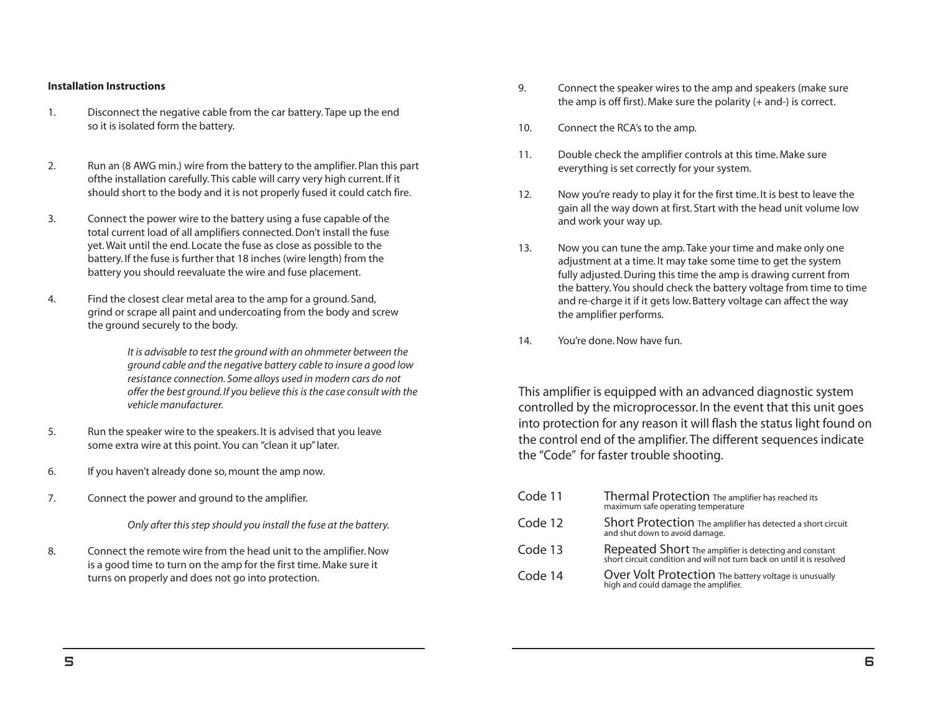#### **Installation Instructions**

- Disconnect the negative cable from the car battery. Tape up the end  $1.$ so it is isolated form the battery.
- $2.$ Run an (8 AWG min.) wire from the battery to the amplifier. Plan this part of the installation carefully. This cable will carry very high current. If it should short to the body and it is not properly fused it could catch fire.
- $3.$ Connect the power wire to the battery using a fuse capable of the total current load of all amplifiers connected. Don't install the fuse yet. Wait until the end. Locate the fuse as close as possible to the battery. If the fuse is further that 18 inches (wire length) from the battery you should reevaluate the wire and fuse placement.
- Find the closest clear metal area to the amp for a ground. Sand,  $4.$ grind or scrape all paint and undercoating from the body and screw the ground securely to the body.

It is advisable to test the ground with an ohmmeter between the around cable and the negative battery cable to insure a good low resistance connection. Some alloys used in modern cars do not offer the best ground. If you believe this is the case consult with the vehicle manufacturer

- 5. Run the speaker wire to the speakers. It is advised that you leave some extra wire at this point. You can "clean it up" later.
- 6. If you haven't already done so, mount the amp now.
- $7<sub>1</sub>$ Connect the power and ground to the amplifier.

Only after this step should you install the fuse at the battery.

8. Connect the remote wire from the head unit to the amplifier. Now is a good time to turn on the amp for the first time. Make sure it turns on properly and does not go into protection.

- 9. Connect the speaker wires to the amp and speakers (make sure the amp is off first). Make sure the polarity  $(+$  and-) is correct.
- $10<sub>1</sub>$ Connect the RCA's to the amp.
- Double check the amplifier controls at this time. Make sure  $11$ everything is set correctly for your system.
- $12<sup>7</sup>$ Now vou're ready to play it for the first time. It is best to leave the gain all the way down at first. Start with the head unit volume low and work your way up.
- Now you can tune the amp. Take your time and make only one  $13.$ adjustment at a time. It may take some time to get the system fully adjusted. During this time the amp is drawing current from the battery. You should check the battery voltage from time to time and re-charge it if it gets low. Battery voltage can affect the way the amplifier performs.
- $14.$ You're done. Now have fun.

This amplifier is equipped with an advanced diagnostic system controlled by the microprocessor. In the event that this unit goes into protection for any reason it will flash the status light found on the control end of the amplifier. The different sequences indicate the "Code" for faster trouble shooting.

| Code 11 | Thermal Protection The amplifier has reached its<br>maximum safe operating temperature                                           |
|---------|----------------------------------------------------------------------------------------------------------------------------------|
| Code 12 | Short Protection The amplifier has detected a short circuit<br>and shut down to avoid damage.                                    |
| Code 13 | Repeated Short The amplifier is detecting and constant<br>short circuit condition and will not turn back on until it is resolved |
| Code 14 | Over Volt Protection The battery voltage is unusually<br>high and could damage the amplifier.                                    |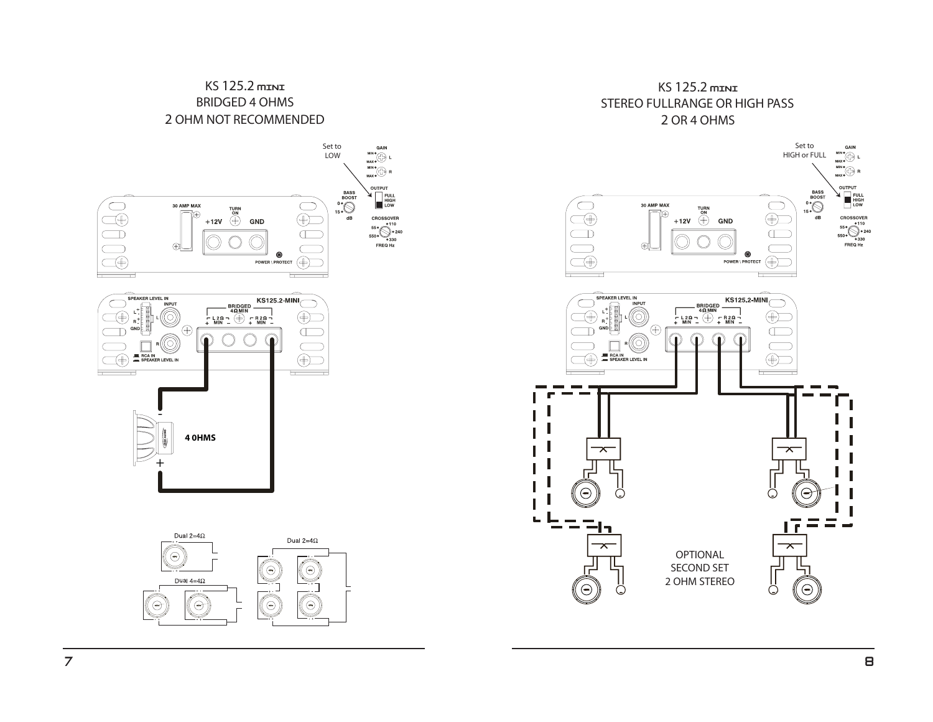## KS 125.2 mINI **BRIDGED 4 OHMS** 2 OHM NOT RECOMMENDED



### KS 125.2 mINI STEREO FULLRANGE OR HIGH PASS 2 OR 4 OHMS

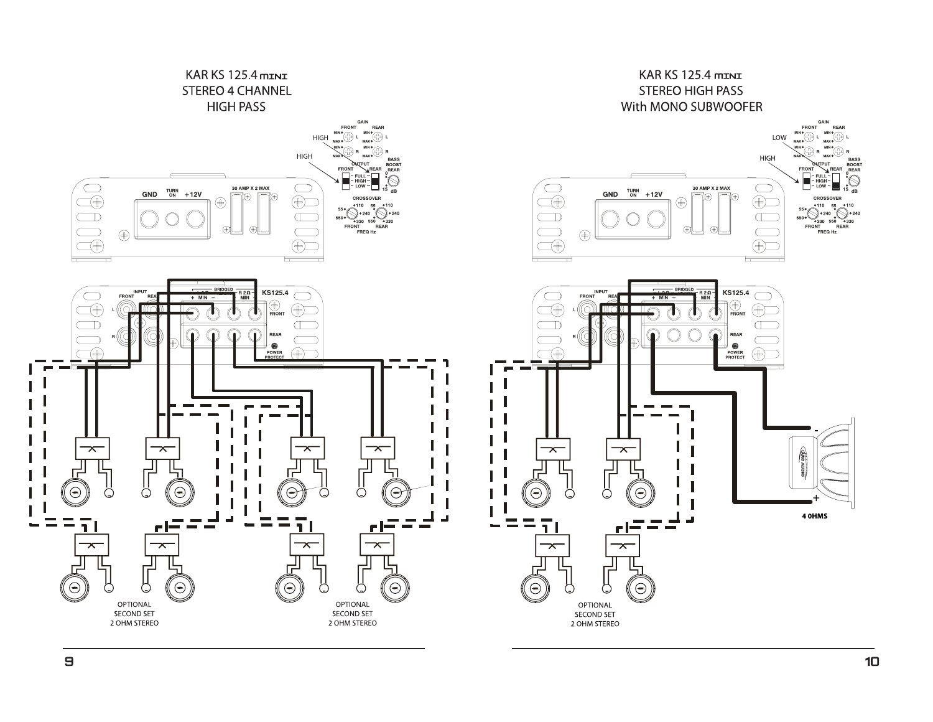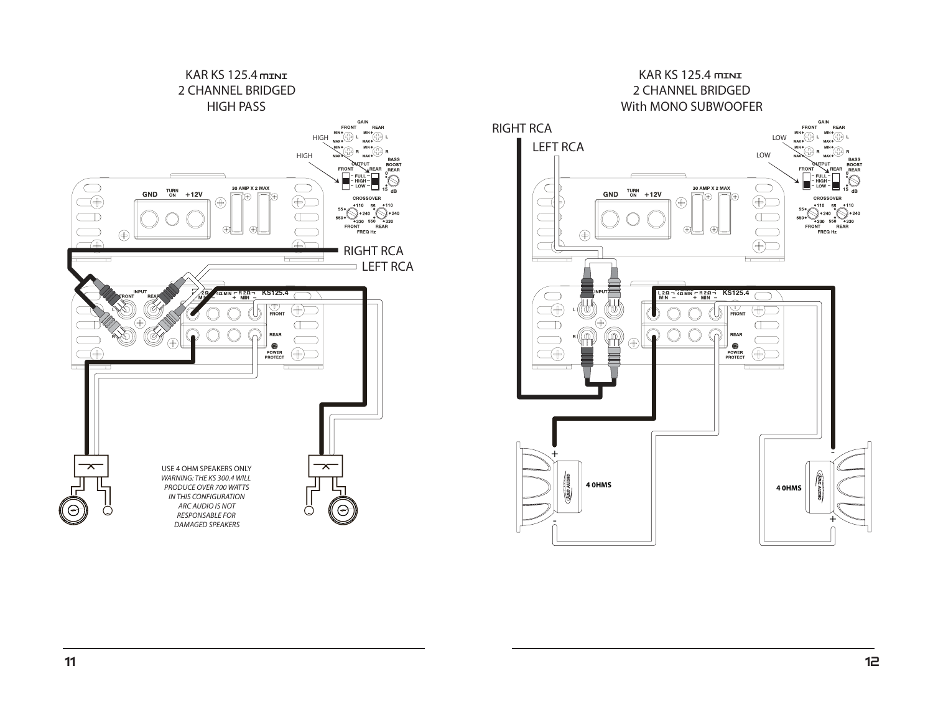

**GAIN** 

CROSSOVER

110

№30

FRONT<br>FRONT<br>FREQ Hz REAR

REAR

..<br>..G

**BASS** BOOST

 $\mathbb S$ 

**FRONT** 

 $\hat{B}$ 

**FRON** - FULL